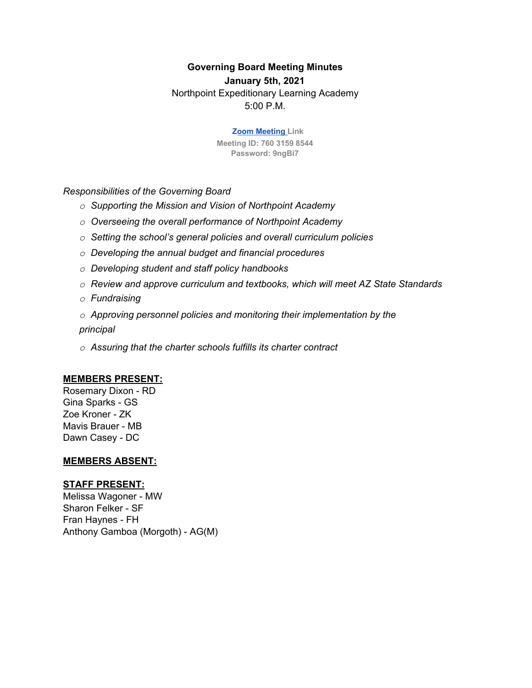# **Governing Board Meeting Minutes**

**January 5th, 2021**

Northpoint Expeditionary Learning Academy 5:00 P.M.

> **Zoom Meeting Link Meeting ID: 760 3159 8544 Password: 9ngBi7**

*Responsibilities of the Governing Board*

- *o Supporting the Mission and Vision of Northpoint Academy*
- *o Overseeing the overall performance of Northpoint Academy*
- *o Setting the school's general policies and overall curriculum policies*
- *o Developing the annual budget and financial procedures*
- *o Developing student and staff policy handbooks*
- *o Review and approve curriculum and textbooks, which will meet AZ State Standards*
- *o Fundraising*

*o Approving personnel policies and monitoring their implementation by the principal*

*o Assuring that the charter schools fulfills its charter contract*

### **MEMBERS PRESENT:**

Rosemary Dixon - RD Gina Sparks - GS Zoe Kroner - ZK Mavis Brauer - MB Dawn Casey - DC

#### **MEMBERS ABSENT:**

### **STAFF PRESENT:**

Melissa Wagoner - MW Sharon Felker - SF Fran Haynes - FH Anthony Gamboa (Morgoth) - AG(M)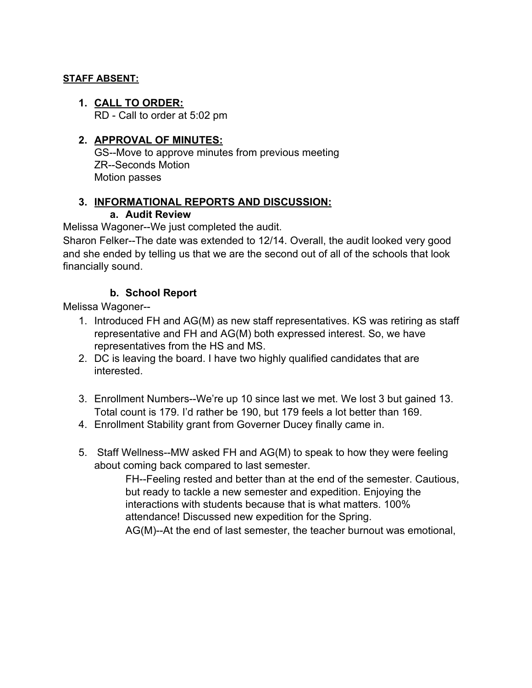## **STAFF ABSENT:**

**1. CALL TO ORDER:**

RD - Call to order at 5:02 pm

## **2. APPROVAL OF MINUTES:**

GS--Move to approve minutes from previous meeting ZR--Seconds Motion Motion passes

## **3. INFORMATIONAL REPORTS AND DISCUSSION:**

### **a. Audit Review**

Melissa Wagoner--We just completed the audit.

Sharon Felker--The date was extended to 12/14. Overall, the audit looked very good and she ended by telling us that we are the second out of all of the schools that look financially sound.

# **b. School Report**

Melissa Wagoner--

- 1. Introduced FH and AG(M) as new staff representatives. KS was retiring as staff representative and FH and AG(M) both expressed interest. So, we have representatives from the HS and MS.
- 2. DC is leaving the board. I have two highly qualified candidates that are interested.
- 3. Enrollment Numbers--We're up 10 since last we met. We lost 3 but gained 13. Total count is 179. I'd rather be 190, but 179 feels a lot better than 169.
- 4. Enrollment Stability grant from Governer Ducey finally came in.
- 5. Staff Wellness--MW asked FH and AG(M) to speak to how they were feeling about coming back compared to last semester.

FH--Feeling rested and better than at the end of the semester. Cautious, but ready to tackle a new semester and expedition. Enjoying the interactions with students because that is what matters. 100% attendance! Discussed new expedition for the Spring. AG(M)--At the end of last semester, the teacher burnout was emotional,